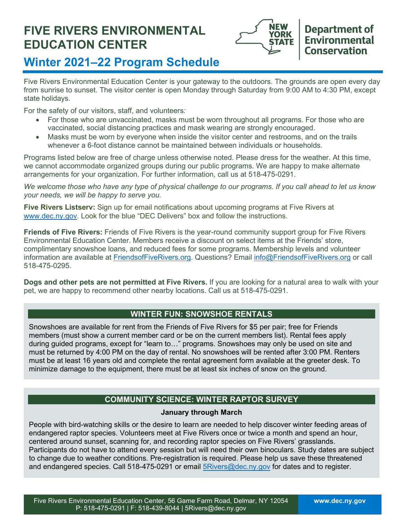# **FIVE RIVERS ENVIRONMENTAL EDUCATION CENTER**



# **Winter 2021–22 Program Schedule**

Five Rivers Environmental Education Center is your gateway to the outdoors. The grounds are open every day from sunrise to sunset. The visitor center is open Monday through Saturday from 9:00 AM to 4:30 PM, except state holidays.

For the safety of our visitors, staff, and volunteers*:*

- For those who are unvaccinated, masks must be worn throughout all programs. For those who are vaccinated, social distancing practices and mask wearing are strongly encouraged.
- Masks must be worn by everyone when inside the visitor center and restrooms, and on the trails whenever a 6-foot distance cannot be maintained between individuals or households.

Programs listed below are free of charge unless otherwise noted. Please dress for the weather. At this time, we cannot accommodate organized groups during our public programs. We are happy to make alternate arrangements for your organization. For further information, call us at 518-475-0291.

*We welcome those who have any type of physical challenge to our programs. If you call ahead to let us know your needs, we will be happy to serve you.*

**Five Rivers Listserv:** Sign up for email notifications about upcoming programs at Five Rivers at [www.dec.ny.gov.](http://www.dec.ny.gov/) Look for the blue "DEC Delivers" box and follow the instructions.

**Friends of Five Rivers:** Friends of Five Rivers is the year-round community support group for Five Rivers Environmental Education Center. Members receive a discount on select items at the Friends' store, complimentary snowshoe loans, and reduced fees for some programs. Membership levels and volunteer information are available at [FriendsofFiveRivers.org.](https://www.friendsoffiverivers.orgo/) Questions? Email [info@FriendsofFiveRivers.org](mailto:info@FriendsofFiveRivers.org) or call 518-475-0295.

**Dogs and other pets are not permitted at Five Rivers.** If you are looking for a natural area to walk with your pet, we are happy to recommend other nearby locations. Call us at 518-475-0291.

# **WINTER FUN: SNOWSHOE RENTALS**

Snowshoes are available for rent from the Friends of Five Rivers for \$5 per pair; free for Friends members (must show a current member card or be on the current members list). Rental fees apply during guided programs, except for "learn to…" programs. Snowshoes may only be used on site and must be returned by 4:00 PM on the day of rental. No snowshoes will be rented after 3:00 PM. Renters must be at least 16 years old and complete the rental agreement form available at the greeter desk. To minimize damage to the equipment, there must be at least six inches of snow on the ground.

# **COMMUNITY SCIENCE: WINTER RAPTOR SURVEY**

## **January through March**

People with bird-watching skills or the desire to learn are needed to help discover winter feeding areas of endangered raptor species. Volunteers meet at Five Rivers once or twice a month and spend an hour, centered around sunset, scanning for, and recording raptor species on Five Rivers' grasslands. Participants do not have to attend every session but will need their own binoculars. Study dates are subject to change due to weather conditions. Pre-registration is required. Please help us save these threatened and endangered species. Call 518-475-0291 or email **5Rivers@dec.ny.gov** for dates and to register.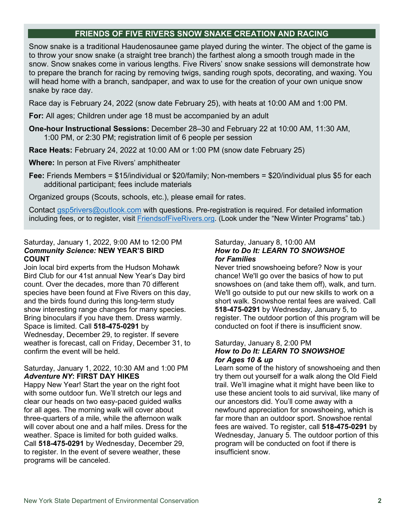# **FRIENDS OF FIVE RIVERS SNOW SNAKE CREATION AND RACING**

Snow snake is a traditional Haudenosaunee game played during the winter. The object of the game is to throw your snow snake (a straight tree branch) the farthest along a smooth trough made in the snow. Snow snakes come in various lengths. Five Rivers' snow snake sessions will demonstrate how to prepare the branch for racing by removing twigs, sanding rough spots, decorating, and waxing. You will head home with a branch, sandpaper, and wax to use for the creation of your own unique snow snake by race day.

Race day is February 24, 2022 (snow date February 25), with heats at 10:00 AM and 1:00 PM.

**For:** All ages; Children under age 18 must be accompanied by an adult

- **One-hour Instructional Sessions:** December 28–30 and February 22 at 10:00 AM, 11:30 AM, 1:00 PM, or 2:30 PM; registration limit of 6 people per session
- **Race Heats:** February 24, 2022 at 10:00 AM or 1:00 PM (snow date February 25)
- **Where:** In person at Five Rivers' amphitheater
- **Fee:** Friends Members = \$15/individual or \$20/family; Non-members = \$20/individual plus \$5 for each additional participant; fees include materials
- Organized groups (Scouts, schools, etc.), please email for rates.

Contact [gsp5rivers@outlook.com](mailto:gsp5rivers@outlook.com) with questions. Pre-registration is required. For detailed information including fees, or to register, visit [FriendsofFiveRivers.org.](https://friendsoffiverivers.org/snow_snake_creation/) (Look under the "New Winter Programs" tab.)

#### Saturday, January 1, 2022, 9:00 AM to 12:00 PM *Community Science:* **NEW YEAR'S BIRD COUNT**

Join local bird experts from the Hudson Mohawk Bird Club for our 41st annual New Year's Day bird count. Over the decades, more than 70 different species have been found at Five Rivers on this day, and the birds found during this long-term study show interesting range changes for many species. Bring binoculars if you have them. Dress warmly. Space is limited. Call **518-475-0291** by Wednesday, December 29, to register. If severe weather is forecast, call on Friday, December 31, to confirm the event will be held.

### Saturday, January 1, 2022, 10:30 AM and 1:00 PM *Adventure NY***: FIRST DAY HIKES**

Happy New Year! Start the year on the right foot with some outdoor fun. We'll stretch our legs and clear our heads on two easy-paced guided walks for all ages. The morning walk will cover about three-quarters of a mile, while the afternoon walk will cover about one and a half miles. Dress for the weather. Space is limited for both guided walks. Call **518-475-0291** by Wednesday, December 29, to register. In the event of severe weather, these programs will be canceled.

#### Saturday, January 8, 10:00 AM *How to Do It: LEARN TO SNOWSHOE for Families*

Never tried snowshoeing before? Now is your chance! We'll go over the basics of how to put snowshoes on (and take them off), walk, and turn. We'll go outside to put our new skills to work on a short walk. Snowshoe rental fees are waived. Call **518-475-0291** by Wednesday, January 5, to register. The outdoor portion of this program will be conducted on foot if there is insufficient snow.

#### Saturday, January 8, 2:00 PM *How to Do It: LEARN TO SNOWSHOE for Ages 10 & up*

Learn some of the history of snowshoeing and then try them out yourself for a walk along the Old Field trail. We'll imagine what it might have been like to use these ancient tools to aid survival, like many of our ancestors did. You'll come away with a newfound appreciation for snowshoeing, which is far more than an outdoor sport. Snowshoe rental fees are waived. To register, call **518-475-0291** by Wednesday, January 5. The outdoor portion of this program will be conducted on foot if there is insufficient snow.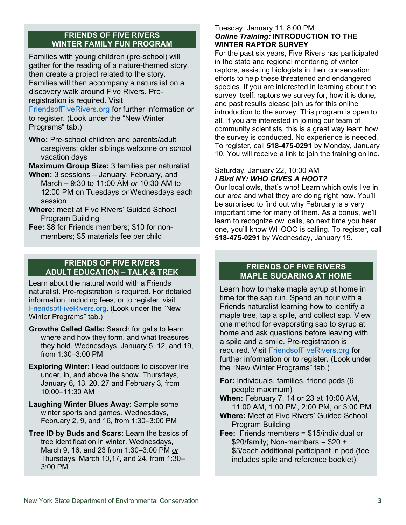## **FRIENDS OF FIVE RIVERS WINTER FAMILY FUN PROGRAM**

Families with young children (pre-school) will gather for the reading of a nature-themed story, then create a project related to the story. Families will then accompany a naturalist on a discovery walk around Five Rivers. Preregistration is required. Visit

[FriendsofFiveRivers.org](https://friendsoffiverivers.org/winter-family-fun/) for further information or to register. (Look under the "New Winter Programs" tab.)

**Who:** Pre-school children and parents/adult caregivers; older siblings welcome on school vacation days

**Maximum Group Size:** 3 families per naturalist

- **When:** 3 sessions January, February, and March – 9:30 to 11:00 AM *or* 10:30 AM to 12:00 PM on Tuesdays *or* Wednesdays each session
- **Where:** meet at Five Rivers' Guided School Program Building
- **Fee:** \$8 for Friends members; \$10 for nonmembers; \$5 materials fee per child

## **FRIENDS OF FIVE RIVERS ADULT EDUCATION – TALK & TREK**

Learn about the natural world with a Friends naturalist. Pre-registration is required. For detailed information, including fees, or to register, visit [FriendsofFiveRivers.org.](https://friendsoffiverivers.org/) (Look under the "New Winter Programs" tab.)

- **Growths Called Galls:** Search for galls to learn where and how they form, and what treasures they hold. Wednesdays, January 5, 12, and 19, from 1:30–3:00 PM
- **Exploring Winter:** Head outdoors to discover life under, in, and above the snow. Thursdays, January 6, 13, 20, 27 and February 3, from 10:00–11:30 AM
- **Laughing Winter Blues Away:** Sample some winter sports and games. Wednesdays, February 2, 9, and 16, from 1:30–3:00 PM
- **Tree ID by Buds and Scars:** Learn the basics of tree identification in winter. Wednesdays, March 9, 16, and 23 from 1:30–3:00 PM *or* Thursdays, March 10,17, and 24, from 1:30– 3:00 PM

## Tuesday, January 11, 8:00 PM *Online Training:* **INTRODUCTION TO THE WINTER RAPTOR SURVEY**

For the past six years, Five Rivers has participated in the state and regional monitoring of winter raptors, assisting biologists in their conservation efforts to help these threatened and endangered species. If you are interested in learning about the survey itself, raptors we survey for, how it is done, and past results please join us for this online introduction to the survey. This program is open to all. If you are interested in joining our team of community scientists, this is a great way learn how the survey is conducted. No experience is needed. To register, call **518-475-0291** by Monday, January 10. You will receive a link to join the training online.

## Saturday, January 22, 10:00 AM *I Bird NY: WHO GIVES A HOOT?*

Our local owls, that's who! Learn which owls live in our area and what they are doing right now. You'll be surprised to find out why February is a very important time for many of them. As a bonus, we'll learn to recognize owl calls, so next time you hear one, you'll know WHOOO is calling. To register, call **518-475-0291** by Wednesday, January 19.

# **FRIENDS OF FIVE RIVERS MAPLE SUGARING AT HOME**

Learn how to make maple syrup at home in time for the sap run. Spend an hour with a Friends naturalist learning how to identify a maple tree, tap a spile, and collect sap. View one method for evaporating sap to syrup at home and ask questions before leaving with a spile and a smile. Pre-registration is required. Visit [FriendsofFiveRivers.org](https://friendsoffiverivers.org/maple_sugaring_at_home/) for further information or to register. (Look under the "New Winter Programs" tab.)

- **For:** Individuals, families, friend pods (6 people maximum)
- **When:** February 7, 14 or 23 at 10:00 AM, 11:00 AM, 1:00 PM, 2:00 PM, or 3:00 PM
- **Where:** Meet at Five Rivers' Guided School Program Building
- **Fee:** Friends members = \$15/individual or  $$20/family; Non-members = $20 +$ \$5/each additional participant in pod (fee includes spile and reference booklet)